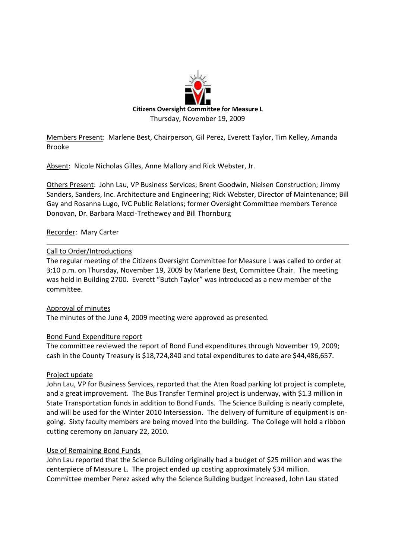

Members Present: Marlene Best, Chairperson, Gil Perez, Everett Taylor, Tim Kelley, Amanda Brooke

Absent: Nicole Nicholas Gilles, Anne Mallory and Rick Webster, Jr.

Others Present: John Lau, VP Business Services; Brent Goodwin, Nielsen Construction; Jimmy Sanders, Sanders, Inc. Architecture and Engineering; Rick Webster, Director of Maintenance; Bill Gay and Rosanna Lugo, IVC Public Relations; former Oversight Committee members Terence Donovan, Dr. Barbara Macci-Trethewey and Bill Thornburg

# Recorder: Mary Carter

# Call to Order/Introductions

The regular meeting of the Citizens Oversight Committee for Measure L was called to order at 3:10 p.m. on Thursday, November 19, 2009 by Marlene Best, Committee Chair. The meeting was held in Building 2700. Everett "Butch Taylor" was introduced as a new member of the committee.

Approval of minutes The minutes of the June 4, 2009 meeting were approved as presented.

# Bond Fund Expenditure report

The committee reviewed the report of Bond Fund expenditures through November 19, 2009; cash in the County Treasury is \$18,724,840 and total expenditures to date are \$44,486,657.

# Project update

John Lau, VP for Business Services, reported that the Aten Road parking lot project is complete, and a great improvement. The Bus Transfer Terminal project is underway, with \$1.3 million in State Transportation funds in addition to Bond Funds. The Science Building is nearly complete, and will be used for the Winter 2010 Intersession. The delivery of furniture of equipment is ongoing. Sixty faculty members are being moved into the building. The College will hold a ribbon cutting ceremony on January 22, 2010.

# Use of Remaining Bond Funds

John Lau reported that the Science Building originally had a budget of \$25 million and was the centerpiece of Measure L. The project ended up costing approximately \$34 million. Committee member Perez asked why the Science Building budget increased, John Lau stated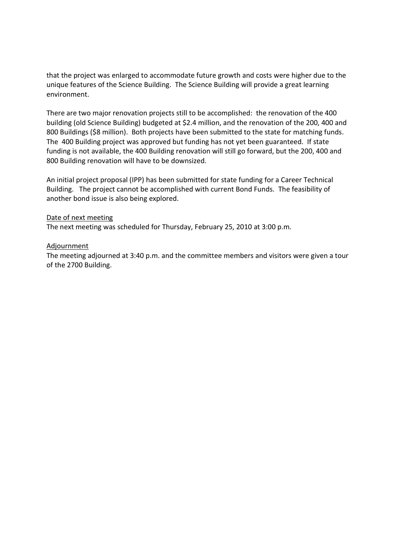that the project was enlarged to accommodate future growth and costs were higher due to the unique features of the Science Building. The Science Building will provide a great learning environment.

There are two major renovation projects still to be accomplished: the renovation of the 400 building (old Science Building) budgeted at \$2.4 million, and the renovation of the 200, 400 and 800 Buildings (\$8 million). Both projects have been submitted to the state for matching funds. The 400 Building project was approved but funding has not yet been guaranteed. If state funding is not available, the 400 Building renovation will still go forward, but the 200, 400 and 800 Building renovation will have to be downsized.

An initial project proposal (IPP) has been submitted for state funding for a Career Technical Building. The project cannot be accomplished with current Bond Funds. The feasibility of another bond issue is also being explored.

# Date of next meeting

The next meeting was scheduled for Thursday, February 25, 2010 at 3:00 p.m.

# Adjournment

The meeting adjourned at 3:40 p.m. and the committee members and visitors were given a tour of the 2700 Building.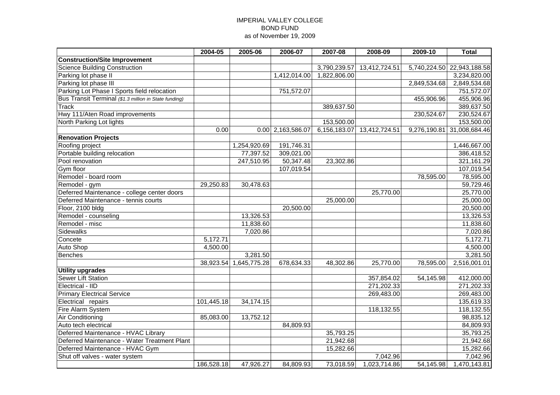### IMPERIAL VALLEY COLLEGE BOND FUND as of November 19, 2009

|                                                       | 2004-05    | 2005-06      | 2006-07             | 2007-08      | 2008-09       | 2009-10      | <b>Total</b>               |  |
|-------------------------------------------------------|------------|--------------|---------------------|--------------|---------------|--------------|----------------------------|--|
| <b>Construction/Site Improvement</b>                  |            |              |                     |              |               |              |                            |  |
| <b>Science Building Construction</b>                  |            |              |                     | 3,790,239.57 | 13,412,724.51 |              | 5,740,224.50 22,943,188.58 |  |
| Parking lot phase II                                  |            |              | 1,412,014.00        | 1,822,806.00 |               |              | 3,234,820.00               |  |
| Parking lot phase III                                 |            |              |                     |              |               | 2,849,534.68 | 2,849,534.68               |  |
| Parking Lot Phase I Sports field relocation           |            |              | 751,572.07          |              |               |              | 751,572.07                 |  |
| Bus Transit Terminal (\$1.3 million in State funding) |            |              |                     |              |               | 455,906.96   | 455,906.96                 |  |
| <b>Track</b>                                          |            |              |                     | 389,637.50   |               |              | 389,637.50                 |  |
| Hwy 111/Aten Road improvements                        |            |              |                     |              |               | 230,524.67   | 230,524.67                 |  |
| North Parking Lot lights                              |            |              |                     | 153,500.00   |               |              | 153,500.00                 |  |
|                                                       | 0.00       |              | $0.00$ 2,163,586.07 | 6,156,183.07 | 13,412,724.51 |              | 9,276,190.81 31,008,684.46 |  |
| <b>Renovation Projects</b>                            |            |              |                     |              |               |              |                            |  |
| Roofing project                                       |            | 1,254,920.69 | 191,746.31          |              |               |              | 1,446,667.00               |  |
| Portable building relocation                          |            | 77,397.52    | 309,021.00          |              |               |              | 386,418.52                 |  |
| Pool renovation                                       |            | 247,510.95   | 50,347.48           | 23,302.86    |               |              | 321,161.29                 |  |
| Gym floor                                             |            |              | 107,019.54          |              |               |              | 107,019.54                 |  |
| Remodel - board room                                  |            |              |                     |              |               | 78,595.00    | 78,595.00                  |  |
| Remodel - gym                                         | 29,250.83  | 30,478.63    |                     |              |               |              | 59,729.46                  |  |
| Deferred Maintenance - college center doors           |            |              |                     |              | 25,770.00     |              | 25,770.00                  |  |
| Deferred Maintenance - tennis courts                  |            |              |                     | 25,000.00    |               |              | 25,000.00                  |  |
| Floor, 2100 bldg                                      |            |              | 20,500.00           |              |               |              | 20,500.00                  |  |
| Remodel - counseling                                  |            | 13,326.53    |                     |              |               |              | 13,326.53                  |  |
| Remodel - misc                                        |            | 11,838.60    |                     |              |               |              | 11,838.60                  |  |
| <b>Sidewalks</b>                                      |            | 7,020.86     |                     |              |               |              | 7,020.86                   |  |
| Concete                                               | 5,172.71   |              |                     |              |               |              | 5,172.71                   |  |
| Auto Shop                                             | 4,500.00   |              |                     |              |               |              | 4,500.00                   |  |
| <b>Benches</b>                                        |            | 3,281.50     |                     |              |               |              | 3,281.50                   |  |
|                                                       | 38,923.54  | 1,645,775.28 | 678,634.33          | 48,302.86    | 25,770.00     | 78,595.00    | 2,516,001.01               |  |
| <b>Utility upgrades</b>                               |            |              |                     |              |               |              |                            |  |
| <b>Sewer Lift Station</b>                             |            |              |                     |              | 357,854.02    | 54,145.98    | 412,000.00                 |  |
| Electrical - IID                                      |            |              |                     |              | 271,202.33    |              | 271,202.33                 |  |
| <b>Primary Electrical Service</b>                     |            |              |                     |              | 269,483.00    |              | 269,483.00                 |  |
| Electrical repairs                                    | 101,445.18 | 34,174.15    |                     |              |               |              | 135,619.33                 |  |
| Fire Alarm System                                     |            |              |                     |              | 118,132.55    |              | 118,132.55                 |  |
| <b>Air Conditioning</b>                               | 85,083.00  | 13,752.12    |                     |              |               |              | 98,835.12                  |  |
| Auto tech electrical                                  |            |              | 84,809.93           |              |               |              | 84,809.93                  |  |
| Deferred Maintenance - HVAC Library                   |            |              |                     | 35,793.25    |               |              | 35,793.25                  |  |
| Deferred Maintenance - Water Treatment Plant          |            |              |                     | 21,942.68    |               |              | 21,942.68                  |  |
| Deferred Maintenance - HVAC Gym                       |            |              |                     | 15,282.66    |               |              | 15,282.66                  |  |
| Shut off valves - water system                        |            |              |                     |              | 7,042.96      |              | 7,042.96                   |  |
|                                                       | 186,528.18 | 47,926.27    | 84,809.93           | 73,018.59    | 1,023,714.86  | 54,145.98    | 1,470,143.81               |  |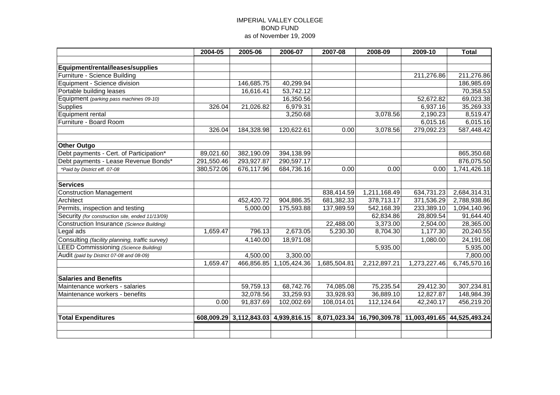### IMPERIAL VALLEY COLLEGE BOND FUND as of November 19, 2009

|                                                  | 2004-05    | 2005-06    | 2006-07                              | 2007-08      | 2008-09                                                | 2009-10                | <b>Total</b>             |  |
|--------------------------------------------------|------------|------------|--------------------------------------|--------------|--------------------------------------------------------|------------------------|--------------------------|--|
|                                                  |            |            |                                      |              |                                                        |                        |                          |  |
| Equipment/rental/leases/supplies                 |            |            |                                      |              |                                                        |                        |                          |  |
| Furniture - Science Building                     |            |            |                                      |              |                                                        | 211,276.86             | 211,276.86               |  |
| Equipment - Science division                     |            | 146,685.75 | 40,299.94                            |              |                                                        |                        | 186,985.69               |  |
| Portable building leases                         |            | 16,616.41  | 53,742.12                            |              |                                                        |                        | 70,358.53                |  |
| Equipment (parking pass machines 09-10)          |            |            | 16,350.56                            |              |                                                        | 52,672.82              | 69,023.38                |  |
| <b>Supplies</b>                                  | 326.04     | 21,026.82  | 6,979.31                             |              |                                                        | 6,937.16               | 35,269.33                |  |
| Equipment rental                                 |            |            | 3,250.68                             |              | 3,078.56                                               | 2,190.23               | 8,519.47                 |  |
| Furniture - Board Room                           |            |            |                                      |              |                                                        | 6,015.16               | 6,015.16                 |  |
|                                                  | 326.04     | 184,328.98 | 120,622.61                           | 0.00         | 3,078.56                                               | 279,092.23             | 587,448.42               |  |
|                                                  |            |            |                                      |              |                                                        |                        |                          |  |
| <b>Other Outgo</b>                               |            |            |                                      |              |                                                        |                        |                          |  |
| Debt payments - Cert. of Participation*          | 89,021.60  | 382,190.09 | 394,138.99                           |              |                                                        |                        | 865,350.68               |  |
| Debt payments - Lease Revenue Bonds*             | 291,550.46 | 293,927.87 | 290,597.17                           |              |                                                        |                        | 876,075.50               |  |
| *Paid by District eff. 07-08                     | 380,572.06 | 676,117.96 | 684,736.16                           | 0.00         | 0.00                                                   | 0.00                   | 1,741,426.18             |  |
| <b>Services</b>                                  |            |            |                                      |              |                                                        |                        |                          |  |
| <b>Construction Management</b>                   |            |            |                                      | 838,414.59   | 1,211,168.49                                           | 634,731.23             | 2,684,314.31             |  |
| Architect                                        |            | 452,420.72 | 904,886.35                           | 681,382.33   | 378,713.17                                             | 371,536.29             | 2,788,938.86             |  |
| Permits, inspection and testing                  |            | 5,000.00   | 175,593.88                           | 137,989.59   | 542,168.39                                             | 233,389.10             | 1,094,140.96             |  |
| Security (for construction site, ended 11/13/09) |            |            |                                      |              | 62,834.86                                              | 28,809.54              | 91,644.40                |  |
| Construction Insurance (Science Building)        |            |            |                                      | 22,488.00    | 3,373.00                                               | 2,504.00               | 28,365.00                |  |
| Legal ads                                        | 1,659.47   | 796.13     | 2,673.05                             | 5,230.30     | 8,704.30                                               | 1,177.30               | 20,240.55                |  |
| Consulting (facility planning, traffic survey)   |            | 4,140.00   | 18,971.08                            |              |                                                        | 1,080.00               | 24,191.08                |  |
| <b>LEED Commissioning (Science Building)</b>     |            |            |                                      |              | 5,935.00                                               |                        | 5,935.00                 |  |
| Audit (paid by District 07-08 and 08-09)         |            | 4,500.00   | 3,300.00                             |              |                                                        |                        | 7,800.00                 |  |
|                                                  | 1,659.47   |            | 466,856.85 1,105,424.36              | 1,685,504.81 | 2,212,897.21                                           | 1,273,227.46           | 6,745,570.16             |  |
| <b>Salaries and Benefits</b>                     |            |            |                                      |              |                                                        |                        |                          |  |
| Maintenance workers - salaries                   |            | 59,759.13  | 68,742.76                            | 74,085.08    | 75,235.54                                              | 29,412.30              | 307,234.81               |  |
|                                                  |            | 32,078.56  |                                      | 33,928.93    | 36,889.10                                              |                        |                          |  |
| Maintenance workers - benefits                   | 0.00       | 91,837.69  | 33,259.93<br>102,002.69              | 108,014.01   | 112,124.64                                             | 12,827.87<br>42,240.17 | 148,984.39<br>456,219.20 |  |
|                                                  |            |            |                                      |              |                                                        |                        |                          |  |
| <b>Total Expenditures</b>                        |            |            | 608,009.29 3,112,843.03 4,939,816.15 |              | 8,071,023.34 16,790,309.78 11,003,491.65 44,525,493.24 |                        |                          |  |
|                                                  |            |            |                                      |              |                                                        |                        |                          |  |
|                                                  |            |            |                                      |              |                                                        |                        |                          |  |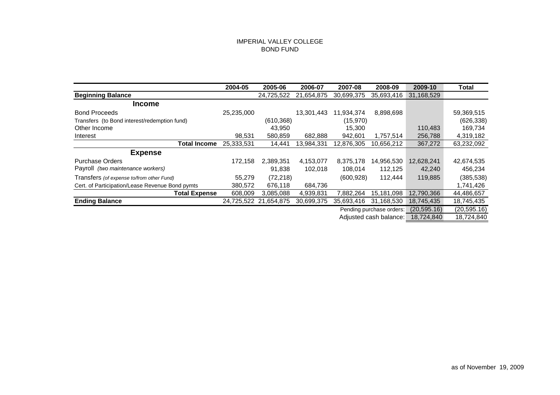### IMPERIAL VALLEY COLLEGE BOND FUND

|                                                 | 2004-05    | 2005-06               | 2006-07    | 2007-08    | 2008-09                  | 2009-10    | Total        |
|-------------------------------------------------|------------|-----------------------|------------|------------|--------------------------|------------|--------------|
| <b>Beginning Balance</b>                        |            | 24,725,522            | 21,654,875 | 30,699,375 | 35,693,416               | 31,168,529 |              |
| <b>Income</b>                                   |            |                       |            |            |                          |            |              |
| <b>Bond Proceeds</b>                            | 25,235,000 |                       | 13,301,443 | 11,934,374 | 8,898,698                |            | 59,369,515   |
| Transfers (to Bond interest/redemption fund)    |            | (610, 368)            |            | (15,970)   |                          |            | (626, 338)   |
| Other Income                                    |            | 43,950                |            | 15,300     |                          | 110,483    | 169,734      |
| Interest                                        | 98,531     | 580,859               | 682,888    | 942,601    | 1,757,514                | 256,788    | 4,319,182    |
| Total Income                                    | 25,333,531 | 14,441                | 13,984,331 | 12,876,305 | 10,656,212               | 367,272    | 63,232,092   |
| <b>Expense</b>                                  |            |                       |            |            |                          |            |              |
| <b>Purchase Orders</b>                          | 172,158    | 2.389.351             | 4,153,077  | 8,375,178  | 14,956,530               | 12,628,241 | 42,674,535   |
| Payroll (two maintenance workers)               |            | 91,838                | 102,018    | 108,014    | 112,125                  | 42,240     | 456,234      |
| Transfers (of expense to/from other Fund)       | 55,279     | (72, 218)             |            | (600, 928) | 112.444                  | 119,885    | (385, 538)   |
| Cert. of Participation/Lease Revenue Bond pymts | 380,572    | 676,118               | 684,736    |            |                          |            | 1,741,426    |
| <b>Total Expense</b>                            | 608,009    | 3,085,088             | 4,939,831  | 7,882,264  | 15.181.098               | 12,790,366 | 44,486,657   |
| <b>Ending Balance</b>                           |            | 24,725,522 21,654,875 | 30,699,375 | 35,693,416 | 31,168,530               | 18,745,435 | 18,745,435   |
|                                                 |            |                       |            |            | Pending purchase orders: |            | (20, 595.16) |
|                                                 |            |                       |            |            | Adjusted cash balance:   | 18,724,840 | 18,724,840   |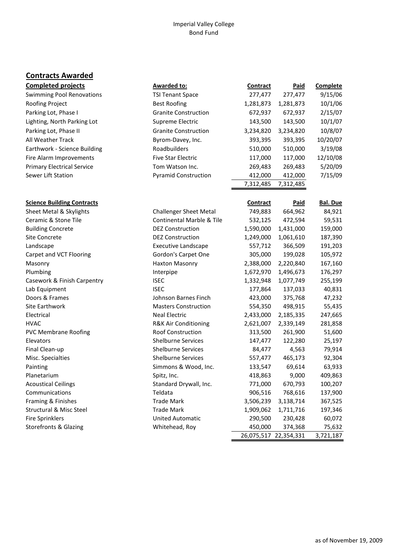### Imperial Valley College Bond Fund

# **Contracts Awarded**

| <b>Completed projects</b>         | <b>Awarded to:</b>                   | <b>Contract</b> | <b>Paid</b>           | <b>Complete</b> |
|-----------------------------------|--------------------------------------|-----------------|-----------------------|-----------------|
| <b>Swimming Pool Renovations</b>  | <b>TSI Tenant Space</b>              | 277,477         | 277,477               | 9/15/06         |
| Roofing Project                   | <b>Best Roofing</b>                  | 1,281,873       | 1,281,873             | 10/1/06         |
| Parking Lot, Phase I              | <b>Granite Construction</b>          | 672,937         | 672,937               | 2/15/07         |
| Lighting, North Parking Lot       | Supreme Electric                     | 143,500         | 143,500               | 10/1/07         |
| Parking Lot, Phase II             | <b>Granite Construction</b>          | 3,234,820       | 3,234,820             | 10/8/07         |
| All Weather Track                 | Byrom-Davey, Inc.                    | 393,395         | 393,395               | 10/20/07        |
| Earthwork - Science Building      | Roadbuilders                         | 510,000         | 510,000               | 3/19/08         |
| Fire Alarm Improvements           | <b>Five Star Electric</b>            | 117,000         | 117,000               | 12/10/08        |
| <b>Primary Electrical Service</b> | Tom Watson Inc.                      | 269,483         | 269,483               | 5/20/09         |
| Sewer Lift Station                | <b>Pyramid Construction</b>          | 412,000         | 412,000               | 7/15/09         |
|                                   |                                      | 7,312,485       | 7,312,485             |                 |
|                                   |                                      |                 |                       |                 |
| <b>Science Building Contracts</b> |                                      | <b>Contract</b> | <b>Paid</b>           | <b>Bal. Due</b> |
| Sheet Metal & Skylights           | <b>Challenger Sheet Metal</b>        | 749,883         | 664,962               | 84,921          |
| Ceramic & Stone Tile              | <b>Continental Marble &amp; Tile</b> | 532,125         | 472,594               | 59,531          |
| <b>Building Concrete</b>          | <b>DEZ Construction</b>              | 1,590,000       | 1,431,000             | 159,000         |
| Site Concrete                     | <b>DEZ Construction</b>              | 1,249,000       | 1,061,610             | 187,390         |
| Landscape                         | <b>Executive Landscape</b>           | 557,712         | 366,509               | 191,203         |
| Carpet and VCT Flooring           | Gordon's Carpet One                  | 305,000         | 199,028               | 105,972         |
| Masonry                           | Haxton Masonry                       | 2,388,000       | 2,220,840             | 167,160         |
| Plumbing                          | Interpipe                            | 1,672,970       | 1,496,673             | 176,297         |
| Casework & Finish Carpentry       | <b>ISEC</b>                          | 1,332,948       | 1,077,749             | 255,199         |
| Lab Equipment                     | <b>ISEC</b>                          | 177,864         | 137,033               | 40,831          |
| Doors & Frames                    | Johnson Barnes Finch                 | 423,000         | 375,768               | 47,232          |
| Site Earthwork                    | <b>Masters Construction</b>          | 554,350         | 498,915               | 55,435          |
| Electrical                        | <b>Neal Electric</b>                 | 2,433,000       | 2,185,335             | 247,665         |
| <b>HVAC</b>                       | R&K Air Conditioning                 | 2,621,007       | 2,339,149             | 281,858         |
| <b>PVC Membrane Roofing</b>       | Roof Construction                    | 313,500         | 261,900               | 51,600          |
| Elevators                         | <b>Shelburne Services</b>            | 147,477         | 122,280               | 25,197          |
| Final Clean-up                    | <b>Shelburne Services</b>            | 84,477          | 4,563                 | 79,914          |
| Misc. Specialties                 | <b>Shelburne Services</b>            | 557,477         | 465,173               | 92,304          |
| Painting                          | Simmons & Wood, Inc.                 | 133,547         | 69,614                | 63,933          |
| Planetarium                       | Spitz, Inc.                          | 418,863         | 9,000                 | 409,863         |
| <b>Acoustical Ceilings</b>        | Standard Drywall, Inc.               | 771,000         | 670,793               | 100,207         |
| Communications                    | Teldata                              | 906,516         | 768,616               | 137,900         |
| Framing & Finishes                | <b>Trade Mark</b>                    | 3,506,239       | 3,138,714             | 367,525         |
| Structural & Misc Steel           | <b>Trade Mark</b>                    | 1,909,062       | 1,711,716             | 197,346         |
| <b>Fire Sprinklers</b>            | <b>United Automatic</b>              | 290,500         | 230,428               | 60,072          |
| <b>Storefronts &amp; Glazing</b>  | Whitehead, Roy                       | 450,000         | 374,368               | 75,632          |
|                                   |                                      |                 | 26,075,517 22,354,331 | 3,721,187       |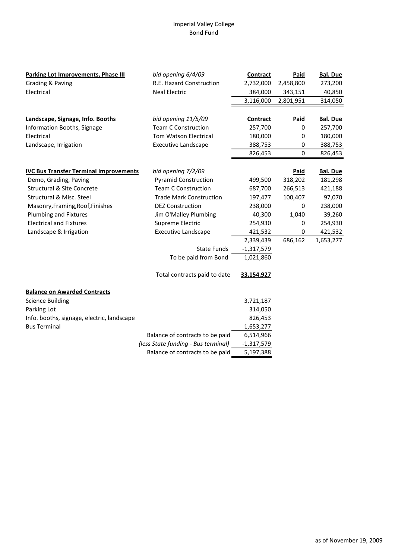### Imperial Valley College Bond Fund

| Parking Lot Improvements, Phase III           | bid opening 6/4/09                  | <b>Contract</b> | <b>Paid</b> | <b>Bal. Due</b> |
|-----------------------------------------------|-------------------------------------|-----------------|-------------|-----------------|
| Grading & Paving                              | R.E. Hazard Construction            | 2,732,000       | 2,458,800   | 273,200         |
| Electrical                                    | <b>Neal Electric</b>                | 384,000         | 343,151     | 40,850          |
|                                               |                                     | 3,116,000       | 2,801,951   | 314,050         |
|                                               |                                     |                 |             |                 |
| Landscape, Signage, Info. Booths              | bid opening 11/5/09                 | <b>Contract</b> | <b>Paid</b> | <b>Bal. Due</b> |
| Information Booths, Signage                   | <b>Team C Construction</b>          | 257,700         | 0           | 257,700         |
| Electrical                                    | Tom Watson Electrical               | 180,000         | 0           | 180,000         |
| Landscape, Irrigation                         | <b>Executive Landscape</b>          | 388,753         | 0           | 388,753         |
|                                               |                                     | 826,453         | $\mathbf 0$ | 826,453         |
| <b>IVC Bus Transfer Terminal Improvements</b> | bid opening 7/2/09                  |                 | <b>Paid</b> | <b>Bal. Due</b> |
| Demo, Grading, Paving                         | <b>Pyramid Construction</b>         | 499,500         | 318,202     | 181,298         |
| <b>Structural &amp; Site Concrete</b>         | <b>Team C Construction</b>          | 687,700         | 266,513     | 421,188         |
| Structural & Misc. Steel                      | <b>Trade Mark Construction</b>      | 197,477         | 100,407     | 97,070          |
| Masonry, Framing, Roof, Finishes              | <b>DEZ Construction</b>             | 238,000         | 0           | 238,000         |
| <b>Plumbing and Fixtures</b>                  | Jim O'Malley Plumbing               | 40,300          | 1,040       | 39,260          |
| <b>Electrical and Fixtures</b>                | Supreme Electric                    | 254,930         | 0           | 254,930         |
| Landscape & Irrigation                        | <b>Executive Landscape</b>          | 421,532         | $\pmb{0}$   | 421,532         |
|                                               |                                     | 2,339,439       | 686,162     | 1,653,277       |
|                                               | <b>State Funds</b>                  | $-1,317,579$    |             |                 |
|                                               | To be paid from Bond                | 1,021,860       |             |                 |
|                                               | Total contracts paid to date        | 33,154,927      |             |                 |
| <b>Balance on Awarded Contracts</b>           |                                     |                 |             |                 |
| <b>Science Building</b>                       |                                     | 3,721,187       |             |                 |
| Parking Lot                                   |                                     | 314,050         |             |                 |
| Info. booths, signage, electric, landscape    |                                     | 826,453         |             |                 |
| <b>Bus Terminal</b>                           |                                     | 1,653,277       |             |                 |
|                                               | Balance of contracts to be paid     | 6,514,966       |             |                 |
|                                               | (less State funding - Bus terminal) | $-1,317,579$    |             |                 |
|                                               | Balance of contracts to be paid     | 5,197,388       |             |                 |